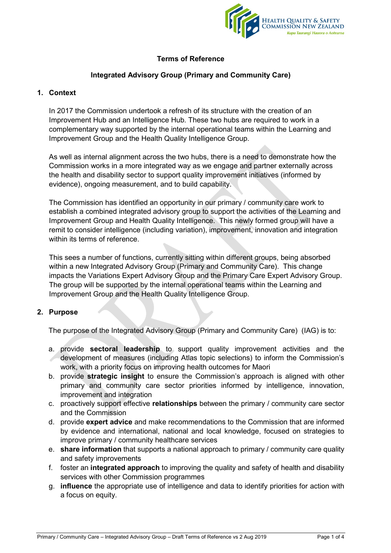

# **Terms of Reference**

### **Integrated Advisory Group (Primary and Community Care)**

### **1. Context**

In 2017 the Commission undertook a refresh of its structure with the creation of an Improvement Hub and an Intelligence Hub. These two hubs are required to work in a complementary way supported by the internal operational teams within the Learning and Improvement Group and the Health Quality Intelligence Group.

As well as internal alignment across the two hubs, there is a need to demonstrate how the Commission works in a more integrated way as we engage and partner externally across the health and disability sector to support quality improvement initiatives (informed by evidence), ongoing measurement, and to build capability.

The Commission has identified an opportunity in our primary / community care work to establish a combined integrated advisory group to support the activities of the Learning and Improvement Group and Health Quality Intelligence. This newly formed group will have a remit to consider intelligence (including variation), improvement, innovation and integration within its terms of reference.

This sees a number of functions, currently sitting within different groups, being absorbed within a new Integrated Advisory Group (Primary and Community Care). This change impacts the Variations Expert Advisory Group and the Primary Care Expert Advisory Group. The group will be supported by the internal operational teams within the Learning and Improvement Group and the Health Quality Intelligence Group.

### **2. Purpose**

The purpose of the Integrated Advisory Group (Primary and Community Care) (IAG) is to:

- a. provide **sectoral leadership** to support quality improvement activities and the development of measures (including Atlas topic selections) to inform the Commission's work, with a priority focus on improving health outcomes for Maori
- b. provide **strategic insight** to ensure the Commission's approach is aligned with other primary and community care sector priorities informed by intelligence, innovation, improvement and integration
- c. proactively support effective **relationships** between the primary / community care sector and the Commission
- d. provide **expert advice** and make recommendations to the Commission that are informed by evidence and international, national and local knowledge, focused on strategies to improve primary / community healthcare services
- e. **share information** that supports a national approach to primary / community care quality and safety improvements
- f. foster an **integrated approach** to improving the quality and safety of health and disability services with other Commission programmes
- g. **influence** the appropriate use of intelligence and data to identify priorities for action with a focus on equity.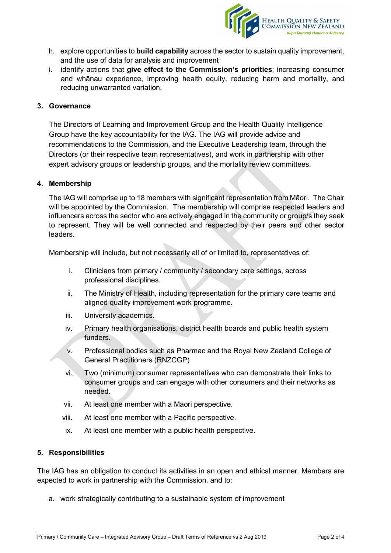

- h. explore opportunities to **build capability** across the sector to sustain quality improvement, and the use of data for analysis and improvement
- i. identify actions that **give effect to the Commission's priorities**: increasing consumer and whānau experience, improving health equity, reducing harm and mortality, and reducing unwarranted variation.

### **3. Governance**

The Directors of Learning and Improvement Group and the Health Quality Intelligence Group have the key accountability for the IAG. The IAG will provide advice and recommendations to the Commission, and the Executive Leadership team, through the Directors (or their respective team representatives), and work in partnership with other expert advisory groups or leadership groups, and the mortality review committees.

### **4. Membership**

The IAG will comprise up to 18 members with significant representation from Māori. The Chair will be appointed by the Commission. The membership will comprise respected leaders and influencers across the sector who are actively engaged in the community or group/s they seek to represent. They will be well connected and respected by their peers and other sector leaders.

Membership will include, but not necessarily all of or limited to, representatives of:

- i. Clinicians from primary / community / secondary care settings, across professional disciplines.
- ii. The Ministry of Health, including representation for the primary care teams and aligned quality improvement work programme.
- iii. University academics.
- iv. Primary health organisations, district health boards and public health system funders.
- v. Professional bodies such as Pharmac and the Royal New Zealand College of General Practitioners (RNZCGP)
- vi. Two (minimum) consumer representatives who can demonstrate their links to consumer groups and can engage with other consumers and their networks as needed.
- vii. At least one member with a Māori perspective.
- viii. At least one member with a Pacific perspective.
- ix. At least one member with a public health perspective.

### **5. Responsibilities**

The IAG has an obligation to conduct its activities in an open and ethical manner. Members are expected to work in partnership with the Commission, and to:

a. work strategically contributing to a sustainable system of improvement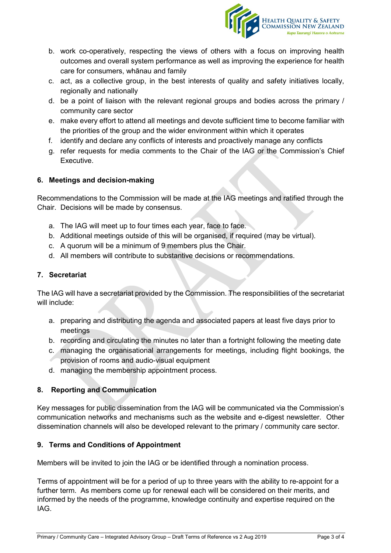

- b. work co-operatively, respecting the views of others with a focus on improving health outcomes and overall system performance as well as improving the experience for health care for consumers, whānau and family
- c. act, as a collective group, in the best interests of quality and safety initiatives locally, regionally and nationally
- d. be a point of liaison with the relevant regional groups and bodies across the primary / community care sector
- e. make every effort to attend all meetings and devote sufficient time to become familiar with the priorities of the group and the wider environment within which it operates
- f. identify and declare any conflicts of interests and proactively manage any conflicts
- g. refer requests for media comments to the Chair of the IAG or the Commission's Chief Executive.

# **6. Meetings and decision-making**

Recommendations to the Commission will be made at the IAG meetings and ratified through the Chair. Decisions will be made by consensus.

- a. The IAG will meet up to four times each year, face to face.
- b. Additional meetings outside of this will be organised, if required (may be virtual).
- c. A quorum will be a minimum of 9 members plus the Chair.
- d. All members will contribute to substantive decisions or recommendations.

### **7. Secretariat**

The IAG will have a secretariat provided by the Commission. The responsibilities of the secretariat will include:

- a. preparing and distributing the agenda and associated papers at least five days prior to meetings
- b. recording and circulating the minutes no later than a fortnight following the meeting date
- c. managing the organisational arrangements for meetings, including flight bookings, the provision of rooms and audio-visual equipment
- d. managing the membership appointment process.

# **8. Reporting and Communication**

Key messages for public dissemination from the IAG will be communicated via the Commission's communication networks and mechanisms such as the website and e-digest newsletter. Other dissemination channels will also be developed relevant to the primary / community care sector.

### **9. Terms and Conditions of Appointment**

Members will be invited to join the IAG or be identified through a nomination process.

Terms of appointment will be for a period of up to three years with the ability to re-appoint for a further term. As members come up for renewal each will be considered on their merits, and informed by the needs of the programme, knowledge continuity and expertise required on the IAG.